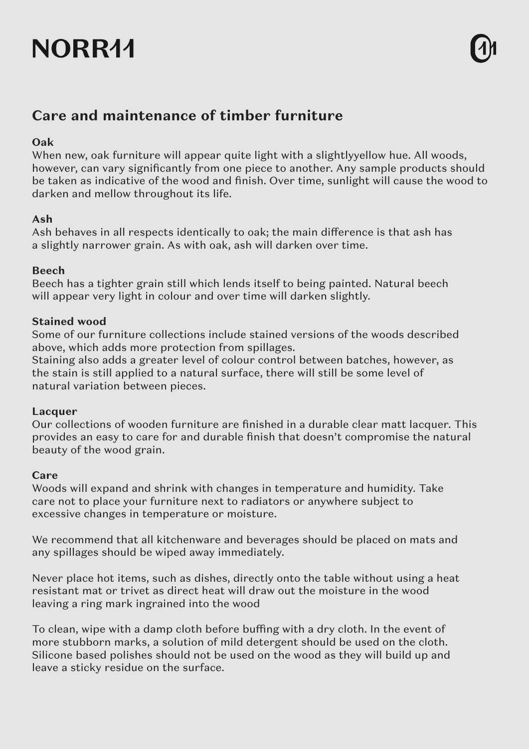# NORR44

## **Care and maintenance of timber furniture**

### **Oak**

When new, oak furniture will appear quite light with a slightlyyellow hue. All woods, however, can vary significantly from one piece to another. Any sample products should be taken as indicative of the wood and finish. Over time, sunlight will cause the wood to darken and mellow throughout its life.

### **Ash**

Ash behaves in all respects identically to oak; the main difference is that ash has a slightly narrower grain. As with oak, ash will darken over time.

### **Beech**

Beech has a tighter grain still which lends itself to being painted. Natural beech will appear very light in colour and over time will darken slightly.

### **Stained wood**

Some of our furniture collections include stained versions of the woods described above, which adds more protection from spillages.

Staining also adds a greater level of colour control between batches, however, as the stain is still applied to a natural surface, there will still be some level of natural variation between pieces.

### **Lacquer**

Our collections of wooden furniture are finished in a durable clear matt lacquer. This provides an easy to care for and durable finish that doesn't compromise the natural beauty of the wood grain.

### **Care**

Woods will expand and shrink with changes in temperature and humidity. Take care not to place your furniture next to radiators or anywhere subject to excessive changes in temperature or moisture.

We recommend that all kitchenware and beverages should be placed on mats and any spillages should be wiped away immediately.

Never place hot items, such as dishes, directly onto the table without using a heat resistant mat or trivet as direct heat will draw out the moisture in the wood leaving a ring mark ingrained into the wood

To clean, wipe with a damp cloth before buffing with a dry cloth. In the event of more stubborn marks, a solution of mild detergent should be used on the cloth. Silicone based polishes should not be used on the wood as they will build up and leave a sticky residue on the surface.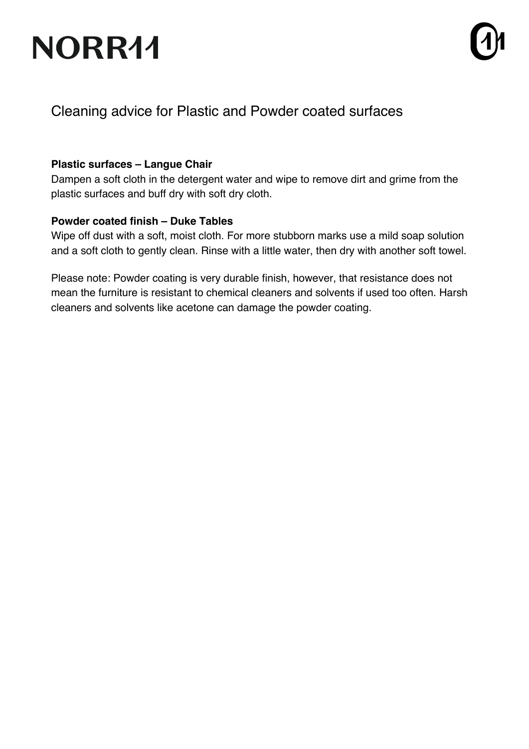# NORR11



### Cleaning advice for Plastic and Powder coated surfaces

### **Plastic surfaces – Langue Chair**

Dampen a soft cloth in the detergent water and wipe to remove dirt and grime from the plastic surfaces and buff dry with soft dry cloth.

### **Powder coated finish – Duke Tables**

Wipe off dust with a soft, moist cloth. For more stubborn marks use a mild soap solution and a soft cloth to gently clean. Rinse with a little water, then dry with another soft towel.

Please note: Powder coating is very durable finish, however, that resistance does not mean the furniture is resistant to chemical cleaners and solvents if used too often. Harsh cleaners and solvents like acetone can damage the powder coating.